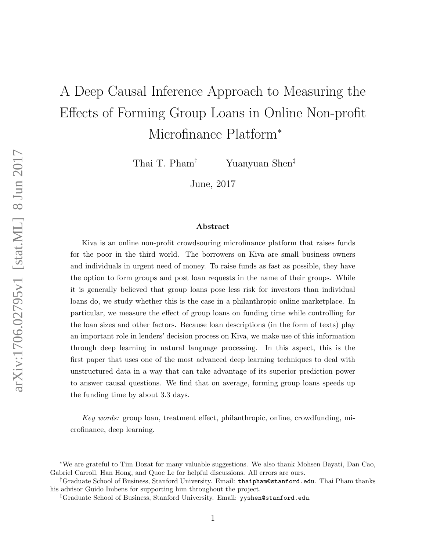# A Deep Causal Inference Approach to Measuring the Effects of Forming Group Loans in Online Non-profit Microfinance Platform<sup>∗</sup>

Thai T. Pham† Yuanyuan Shen‡

June, 2017

#### Abstract

Kiva is an online non-profit crowdsouring microfinance platform that raises funds for the poor in the third world. The borrowers on Kiva are small business owners and individuals in urgent need of money. To raise funds as fast as possible, they have the option to form groups and post loan requests in the name of their groups. While it is generally believed that group loans pose less risk for investors than individual loans do, we study whether this is the case in a philanthropic online marketplace. In particular, we measure the effect of group loans on funding time while controlling for the loan sizes and other factors. Because loan descriptions (in the form of texts) play an important role in lenders' decision process on Kiva, we make use of this information through deep learning in natural language processing. In this aspect, this is the first paper that uses one of the most advanced deep learning techniques to deal with unstructured data in a way that can take advantage of its superior prediction power to answer causal questions. We find that on average, forming group loans speeds up the funding time by about 3.3 days.

Key words: group loan, treatment effect, philanthropic, online, crowdfunding, microfinance, deep learning.

<sup>∗</sup>We are grateful to Tim Dozat for many valuable suggestions. We also thank Mohsen Bayati, Dan Cao, Gabriel Carroll, Han Hong, and Quoc Le for helpful discussions. All errors are ours.

<sup>†</sup>Graduate School of Business, Stanford University. Email: thaipham@stanford.edu. Thai Pham thanks his advisor Guido Imbens for supporting him throughout the project.

<sup>‡</sup>Graduate School of Business, Stanford University. Email: yyshen@stanford.edu.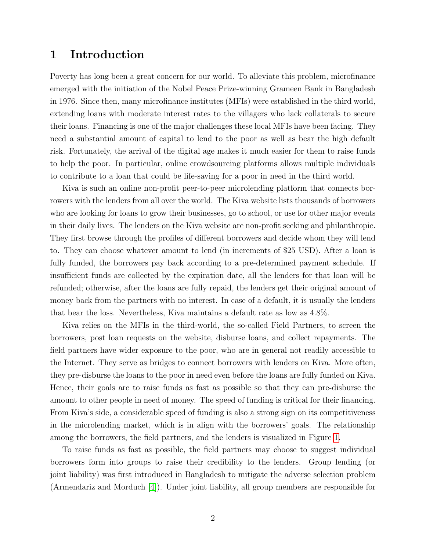# 1 Introduction

Poverty has long been a great concern for our world. To alleviate this problem, microfinance emerged with the initiation of the Nobel Peace Prize-winning Grameen Bank in Bangladesh in 1976. Since then, many microfinance institutes (MFIs) were established in the third world, extending loans with moderate interest rates to the villagers who lack collaterals to secure their loans. Financing is one of the major challenges these local MFIs have been facing. They need a substantial amount of capital to lend to the poor as well as bear the high default risk. Fortunately, the arrival of the digital age makes it much easier for them to raise funds to help the poor. In particular, online crowdsourcing platforms allows multiple individuals to contribute to a loan that could be life-saving for a poor in need in the third world.

Kiva is such an online non-profit peer-to-peer microlending platform that connects borrowers with the lenders from all over the world. The Kiva website lists thousands of borrowers who are looking for loans to grow their businesses, go to school, or use for other major events in their daily lives. The lenders on the Kiva website are non-profit seeking and philanthropic. They first browse through the profiles of different borrowers and decide whom they will lend to. They can choose whatever amount to lend (in increments of \$25 USD). After a loan is fully funded, the borrowers pay back according to a pre-determined payment schedule. If insufficient funds are collected by the expiration date, all the lenders for that loan will be refunded; otherwise, after the loans are fully repaid, the lenders get their original amount of money back from the partners with no interest. In case of a default, it is usually the lenders that bear the loss. Nevertheless, Kiva maintains a default rate as low as 4.8%.

Kiva relies on the MFIs in the third-world, the so-called Field Partners, to screen the borrowers, post loan requests on the website, disburse loans, and collect repayments. The field partners have wider exposure to the poor, who are in general not readily accessible to the Internet. They serve as bridges to connect borrowers with lenders on Kiva. More often, they pre-disburse the loans to the poor in need even before the loans are fully funded on Kiva. Hence, their goals are to raise funds as fast as possible so that they can pre-disburse the amount to other people in need of money. The speed of funding is critical for their financing. From Kiva's side, a considerable speed of funding is also a strong sign on its competitiveness in the microlending market, which is in align with the borrowers' goals. The relationship among the borrowers, the field partners, and the lenders is visualized in Figure [1.](#page-2-0)

To raise funds as fast as possible, the field partners may choose to suggest individual borrowers form into groups to raise their credibility to the lenders. Group lending (or joint liability) was first introduced in Bangladesh to mitigate the adverse selection problem (Armendariz and Morduch [\[4\]](#page-27-0)). Under joint liability, all group members are responsible for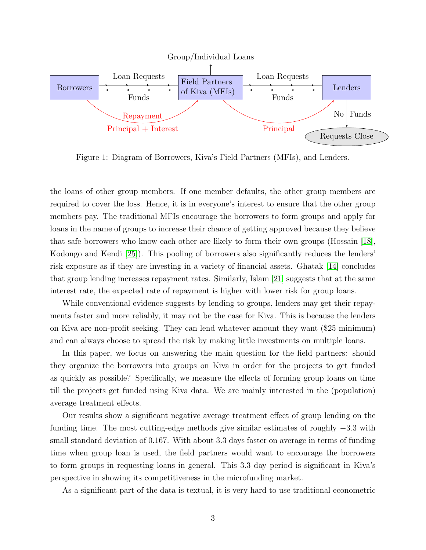<span id="page-2-0"></span>

Figure 1: Diagram of Borrowers, Kiva's Field Partners (MFIs), and Lenders.

the loans of other group members. If one member defaults, the other group members are required to cover the loss. Hence, it is in everyone's interest to ensure that the other group members pay. The traditional MFIs encourage the borrowers to form groups and apply for loans in the name of groups to increase their chance of getting approved because they believe that safe borrowers who know each other are likely to form their own groups (Hossain [\[18\]](#page-28-0), Kodongo and Kendi [\[25\]](#page-29-0)). This pooling of borrowers also significantly reduces the lenders' risk exposure as if they are investing in a variety of financial assets. Ghatak [\[14\]](#page-28-1) concludes that group lending increases repayment rates. Similarly, Islam [\[21\]](#page-28-2) suggests that at the same interest rate, the expected rate of repayment is higher with lower risk for group loans.

While conventional evidence suggests by lending to groups, lenders may get their repayments faster and more reliably, it may not be the case for Kiva. This is because the lenders on Kiva are non-profit seeking. They can lend whatever amount they want (\$25 minimum) and can always choose to spread the risk by making little investments on multiple loans.

In this paper, we focus on answering the main question for the field partners: should they organize the borrowers into groups on Kiva in order for the projects to get funded as quickly as possible? Specifically, we measure the effects of forming group loans on time till the projects get funded using Kiva data. We are mainly interested in the (population) average treatment effects.

Our results show a significant negative average treatment effect of group lending on the funding time. The most cutting-edge methods give similar estimates of roughly −3.3 with small standard deviation of 0.167. With about 3.3 days faster on average in terms of funding time when group loan is used, the field partners would want to encourage the borrowers to form groups in requesting loans in general. This 3.3 day period is significant in Kiva's perspective in showing its competitiveness in the microfunding market.

As a significant part of the data is textual, it is very hard to use traditional econometric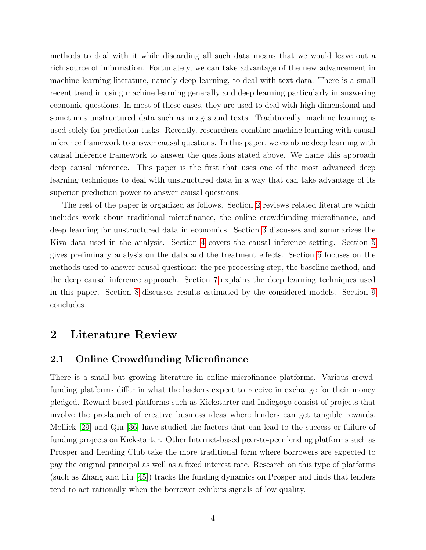methods to deal with it while discarding all such data means that we would leave out a rich source of information. Fortunately, we can take advantage of the new advancement in machine learning literature, namely deep learning, to deal with text data. There is a small recent trend in using machine learning generally and deep learning particularly in answering economic questions. In most of these cases, they are used to deal with high dimensional and sometimes unstructured data such as images and texts. Traditionally, machine learning is used solely for prediction tasks. Recently, researchers combine machine learning with causal inference framework to answer causal questions. In this paper, we combine deep learning with causal inference framework to answer the questions stated above. We name this approach deep causal inference. This paper is the first that uses one of the most advanced deep learning techniques to deal with unstructured data in a way that can take advantage of its superior prediction power to answer causal questions.

The rest of the paper is organized as follows. Section [2](#page-3-0) reviews related literature which includes work about traditional microfinance, the online crowdfunding microfinance, and deep learning for unstructured data in economics. Section [3](#page-5-0) discusses and summarizes the Kiva data used in the analysis. Section [4](#page-10-0) covers the causal inference setting. Section [5](#page-12-0) gives preliminary analysis on the data and the treatment effects. Section [6](#page-14-0) focuses on the methods used to answer causal questions: the pre-processing step, the baseline method, and the deep causal inference approach. Section [7](#page-18-0) explains the deep learning techniques used in this paper. Section [8](#page-23-0) discusses results estimated by the considered models. Section [9](#page-26-0) concludes.

# <span id="page-3-0"></span>2 Literature Review

### 2.1 Online Crowdfunding Microfinance

There is a small but growing literature in online microfinance platforms. Various crowdfunding platforms differ in what the backers expect to receive in exchange for their money pledged. Reward-based platforms such as Kickstarter and Indiegogo consist of projects that involve the pre-launch of creative business ideas where lenders can get tangible rewards. Mollick [\[29\]](#page-29-1) and Qiu [\[36\]](#page-30-0) have studied the factors that can lead to the success or failure of funding projects on Kickstarter. Other Internet-based peer-to-peer lending platforms such as Prosper and Lending Club take the more traditional form where borrowers are expected to pay the original principal as well as a fixed interest rate. Research on this type of platforms (such as Zhang and Liu [\[45\]](#page-30-1)) tracks the funding dynamics on Prosper and finds that lenders tend to act rationally when the borrower exhibits signals of low quality.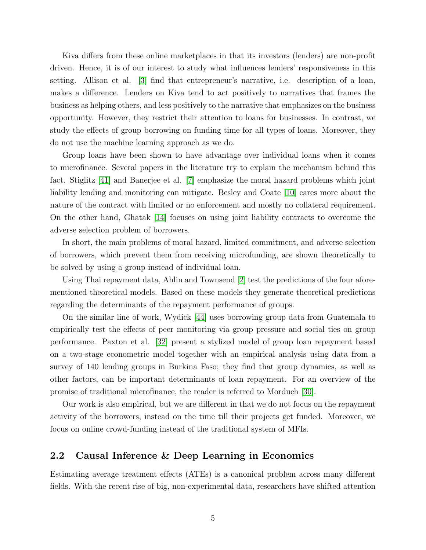Kiva differs from these online marketplaces in that its investors (lenders) are non-profit driven. Hence, it is of our interest to study what influences lenders' responsiveness in this setting. Allison et al. [\[3\]](#page-27-1) find that entrepreneur's narrative, i.e. description of a loan, makes a difference. Lenders on Kiva tend to act positively to narratives that frames the business as helping others, and less positively to the narrative that emphasizes on the business opportunity. However, they restrict their attention to loans for businesses. In contrast, we study the effects of group borrowing on funding time for all types of loans. Moreover, they do not use the machine learning approach as we do.

Group loans have been shown to have advantage over individual loans when it comes to microfinance. Several papers in the literature try to explain the mechanism behind this fact. Stiglitz [\[41\]](#page-30-2) and Banerjee et al. [\[7\]](#page-27-2) emphasize the moral hazard problems which joint liability lending and monitoring can mitigate. Besley and Coate [\[10\]](#page-27-3) cares more about the nature of the contract with limited or no enforcement and mostly no collateral requirement. On the other hand, Ghatak [\[14\]](#page-28-1) focuses on using joint liability contracts to overcome the adverse selection problem of borrowers.

In short, the main problems of moral hazard, limited commitment, and adverse selection of borrowers, which prevent them from receiving microfunding, are shown theoretically to be solved by using a group instead of individual loan.

Using Thai repayment data, Ahlin and Townsend [\[2\]](#page-27-4) test the predictions of the four aforementioned theoretical models. Based on these models they generate theoretical predictions regarding the determinants of the repayment performance of groups.

On the similar line of work, Wydick [\[44\]](#page-30-3) uses borrowing group data from Guatemala to empirically test the effects of peer monitoring via group pressure and social ties on group performance. Paxton et al. [\[32\]](#page-29-2) present a stylized model of group loan repayment based on a two-stage econometric model together with an empirical analysis using data from a survey of 140 lending groups in Burkina Faso; they find that group dynamics, as well as other factors, can be important determinants of loan repayment. For an overview of the promise of traditional microfinance, the reader is referred to Morduch [\[30\]](#page-29-3).

Our work is also empirical, but we are different in that we do not focus on the repayment activity of the borrowers, instead on the time till their projects get funded. Moreover, we focus on online crowd-funding instead of the traditional system of MFIs.

### 2.2 Causal Inference & Deep Learning in Economics

Estimating average treatment effects (ATEs) is a canonical problem across many different fields. With the recent rise of big, non-experimental data, researchers have shifted attention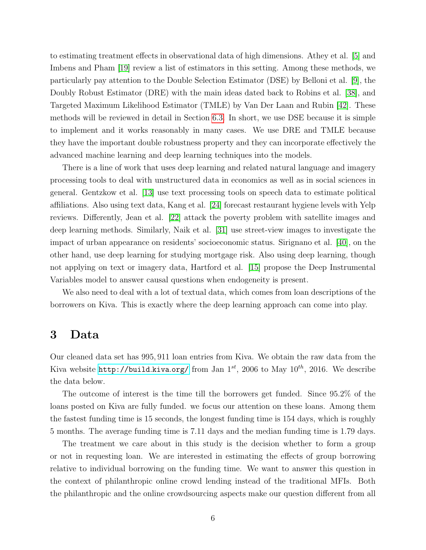to estimating treatment effects in observational data of high dimensions. Athey et al. [\[5\]](#page-27-5) and Imbens and Pham [\[19\]](#page-28-3) review a list of estimators in this setting. Among these methods, we particularly pay attention to the Double Selection Estimator (DSE) by Belloni et al. [\[9\]](#page-27-6), the Doubly Robust Estimator (DRE) with the main ideas dated back to Robins et al. [\[38\]](#page-30-4), and Targeted Maximum Likelihood Estimator (TMLE) by Van Der Laan and Rubin [\[42\]](#page-30-5). These methods will be reviewed in detail in Section [6.3.](#page-16-0) In short, we use DSE because it is simple to implement and it works reasonably in many cases. We use DRE and TMLE because they have the important double robustness property and they can incorporate effectively the advanced machine learning and deep learning techniques into the models.

There is a line of work that uses deep learning and related natural language and imagery processing tools to deal with unstructured data in economics as well as in social sciences in general. Gentzkow et al. [\[13\]](#page-28-4) use text processing tools on speech data to estimate political affiliations. Also using text data, Kang et al. [\[24\]](#page-29-4) forecast restaurant hygiene levels with Yelp reviews. Differently, Jean et al. [\[22\]](#page-28-5) attack the poverty problem with satellite images and deep learning methods. Similarly, Naik et al. [\[31\]](#page-29-5) use street-view images to investigate the impact of urban appearance on residents' socioeconomic status. Sirignano et al. [\[40\]](#page-30-6), on the other hand, use deep learning for studying mortgage risk. Also using deep learning, though not applying on text or imagery data, Hartford et al. [\[15\]](#page-28-6) propose the Deep Instrumental Variables model to answer causal questions when endogeneity is present.

We also need to deal with a lot of textual data, which comes from loan descriptions of the borrowers on Kiva. This is exactly where the deep learning approach can come into play.

### <span id="page-5-0"></span>3 Data

Our cleaned data set has 995, 911 loan entries from Kiva. We obtain the raw data from the Kiva website [http://build](http://build.kiva.org/).kiva.org/ from Jan  $1^{st}$ , 2006 to May  $10^{th}$ , 2016. We describe the data below.

The outcome of interest is the time till the borrowers get funded. Since 95.2% of the loans posted on Kiva are fully funded. we focus our attention on these loans. Among them the fastest funding time is 15 seconds, the longest funding time is 154 days, which is roughly 5 months. The average funding time is 7.11 days and the median funding time is 1.79 days.

The treatment we care about in this study is the decision whether to form a group or not in requesting loan. We are interested in estimating the effects of group borrowing relative to individual borrowing on the funding time. We want to answer this question in the context of philanthropic online crowd lending instead of the traditional MFIs. Both the philanthropic and the online crowdsourcing aspects make our question different from all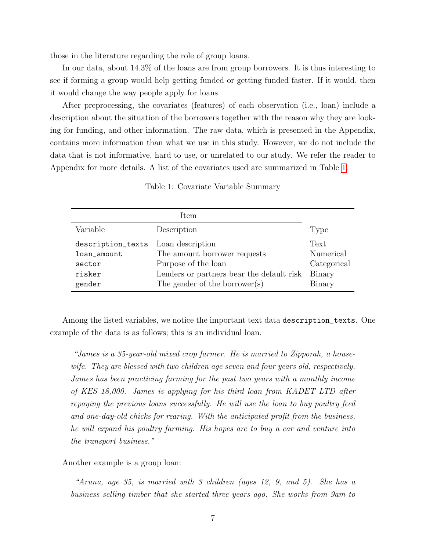those in the literature regarding the role of group loans.

In our data, about 14.3% of the loans are from group borrowers. It is thus interesting to see if forming a group would help getting funded or getting funded faster. If it would, then it would change the way people apply for loans.

After preprocessing, the covariates (features) of each observation (i.e., loan) include a description about the situation of the borrowers together with the reason why they are looking for funding, and other information. The raw data, which is presented in the Appendix, contains more information than what we use in this study. However, we do not include the data that is not informative, hard to use, or unrelated to our study. We refer the reader to Appendix for more details. A list of the covariates used are summarized in Table [1.](#page-6-0)

<span id="page-6-0"></span>

|                   | Item                                      |             |
|-------------------|-------------------------------------------|-------------|
| Variable          | Description                               | Type        |
| description_texts | Loan description                          | Text        |
| loan_amount       | The amount borrower requests              | Numerical   |
| sector            | Purpose of the loan                       | Categorical |
| risker            | Lenders or partners bear the default risk | Binary      |
| gender            | The gender of the borrower(s)             | Binary      |

Table 1: Covariate Variable Summary

Among the listed variables, we notice the important text data description\_texts. One example of the data is as follows; this is an individual loan.

"James is a 35-year-old mixed crop farmer. He is married to Zipporah, a housewife. They are blessed with two children age seven and four years old, respectively. James has been practicing farming for the past two years with a monthly income of KES 18,000. James is applying for his third loan from KADET LTD after repaying the previous loans successfully. He will use the loan to buy poultry feed and one-day-old chicks for rearing. With the anticipated profit from the business, he will expand his poultry farming. His hopes are to buy a car and venture into the transport business."

Another example is a group loan:

"Aruna, age 35, is married with 3 children (ages 12, 9, and 5). She has a business selling timber that she started three years ago. She works from 9am to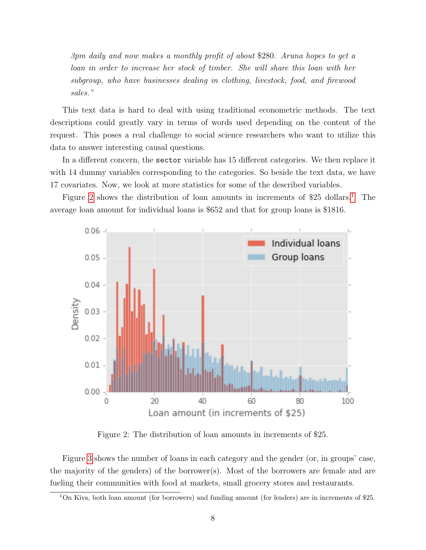3pm daily and now makes a monthly profit of about \$280. Aruna hopes to get a loan in order to increase her stock of timber. She will share this loan with her subgroup, who have businesses dealing in clothing, livestock, food, and firewood sales."

This text data is hard to deal with using traditional econometric methods. The text descriptions could greatly vary in terms of words used depending on the content of the request. This poses a real challenge to social science researchers who want to utilize this data to answer interesting causal questions.

In a different concern, the sector variable has 15 different categories. We then replace it with 14 dummy variables corresponding to the categories. So beside the text data, we have 17 covariates. Now, we look at more statistics for some of the described variables.

Figure [2](#page-7-0) shows the distribution of loan amounts in increments of  $$25$  dollars.<sup>[1](#page-7-1)</sup> The average loan amount for individual loans is \$652 and that for group loans is \$1816.

<span id="page-7-0"></span>

Figure 2: The distribution of loan amounts in increments of \$25.

Figure [3](#page-8-0) shows the number of loans in each category and the gender (or, in groups' case, the majority of the genders) of the borrower(s). Most of the borrowers are female and are fueling their communities with food at markets, small grocery stores and restaurants.

<span id="page-7-1"></span><sup>1</sup>On Kiva, both loan amount (for borrowers) and funding amount (for lenders) are in increments of \$25.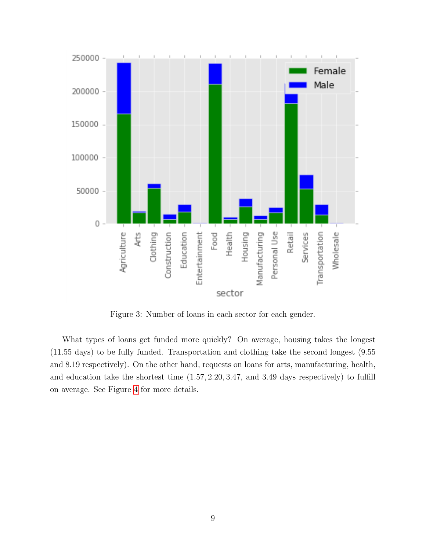<span id="page-8-0"></span>

Figure 3: Number of loans in each sector for each gender.

What types of loans get funded more quickly? On average, housing takes the longest (11.55 days) to be fully funded. Transportation and clothing take the second longest (9.55 and 8.19 respectively). On the other hand, requests on loans for arts, manufacturing, health, and education take the shortest time (1.57, 2.20, 3.47, and 3.49 days respectively) to fulfill on average. See Figure [4](#page-9-0) for more details.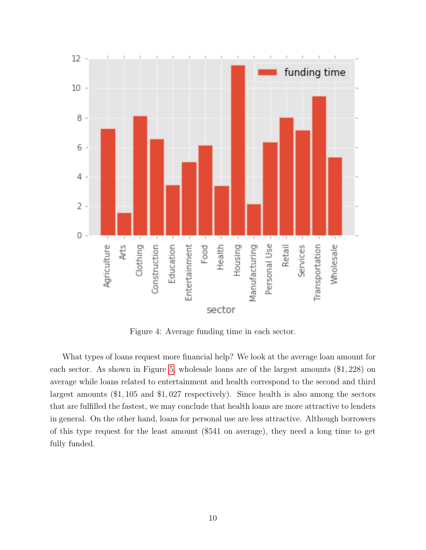<span id="page-9-0"></span>

Figure 4: Average funding time in each sector.

What types of loans request more financial help? We look at the average loan amount for each sector. As shown in Figure [5,](#page-10-1) wholesale loans are of the largest amounts (\$1, 228) on average while loans related to entertainment and health correspond to the second and third largest amounts (\$1, 105 and \$1, 027 respectively). Since health is also among the sectors that are fulfilled the fastest, we may conclude that health loans are more attractive to lenders in general. On the other hand, loans for personal use are less attractive. Although borrowers of this type request for the least amount (\$541 on average), they need a long time to get fully funded.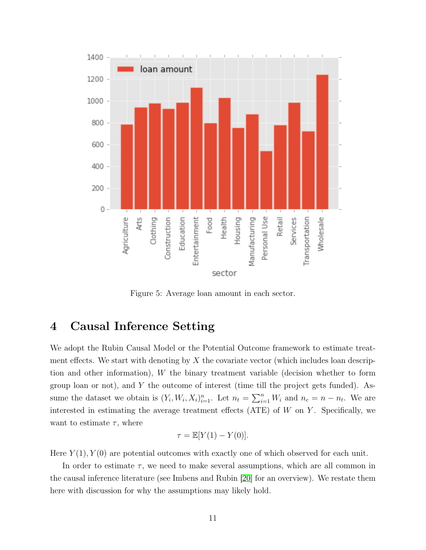<span id="page-10-1"></span>

Figure 5: Average loan amount in each sector.

# <span id="page-10-0"></span>4 Causal Inference Setting

We adopt the Rubin Causal Model or the Potential Outcome framework to estimate treatment effects. We start with denoting by  $X$  the covariate vector (which includes loan description and other information),  $W$  the binary treatment variable (decision whether to form group loan or not), and Y the outcome of interest (time till the project gets funded). Assume the dataset we obtain is  $(Y_i, W_i, X_i)_{i=1}^n$ . Let  $n_t = \sum_{i=1}^n W_i$  and  $n_c = n - n_t$ . We are interested in estimating the average treatment effects (ATE) of  $W$  on  $Y$ . Specifically, we want to estimate  $\tau$ , where

$$
\tau = \mathbb{E}[Y(1) - Y(0)].
$$

Here  $Y(1), Y(0)$  are potential outcomes with exactly one of which observed for each unit.

In order to estimate  $\tau$ , we need to make several assumptions, which are all common in the causal inference literature (see Imbens and Rubin [\[20\]](#page-28-7) for an overview). We restate them here with discussion for why the assumptions may likely hold.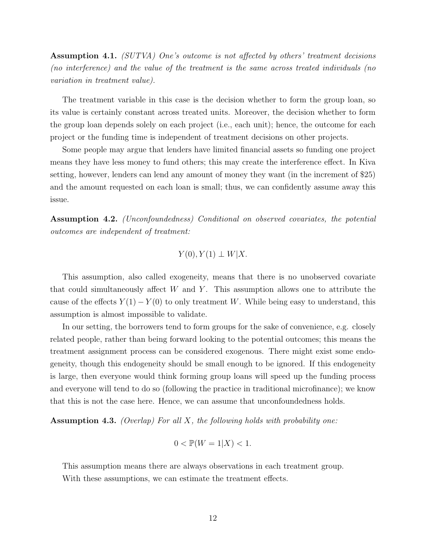Assumption 4.1. (SUTVA) One's outcome is not affected by others' treatment decisions (no interference) and the value of the treatment is the same across treated individuals (no variation in treatment value).

The treatment variable in this case is the decision whether to form the group loan, so its value is certainly constant across treated units. Moreover, the decision whether to form the group loan depends solely on each project (i.e., each unit); hence, the outcome for each project or the funding time is independent of treatment decisions on other projects.

Some people may argue that lenders have limited financial assets so funding one project means they have less money to fund others; this may create the interference effect. In Kiva setting, however, lenders can lend any amount of money they want (in the increment of \$25) and the amount requested on each loan is small; thus, we can confidently assume away this issue.

Assumption 4.2. (Unconfoundedness) Conditional on observed covariates, the potential outcomes are independent of treatment:

$$
Y(0), Y(1) \perp W|X.
$$

This assumption, also called exogeneity, means that there is no unobserved covariate that could simultaneously affect  $W$  and  $Y$ . This assumption allows one to attribute the cause of the effects  $Y(1) - Y(0)$  to only treatment W. While being easy to understand, this assumption is almost impossible to validate.

In our setting, the borrowers tend to form groups for the sake of convenience, e.g. closely related people, rather than being forward looking to the potential outcomes; this means the treatment assignment process can be considered exogenous. There might exist some endogeneity, though this endogeneity should be small enough to be ignored. If this endogeneity is large, then everyone would think forming group loans will speed up the funding process and everyone will tend to do so (following the practice in traditional microfinance); we know that this is not the case here. Hence, we can assume that unconfoundedness holds.

**Assumption 4.3.** (Overlap) For all X, the following holds with probability one:

$$
0 < \mathbb{P}(W = 1|X) < 1.
$$

This assumption means there are always observations in each treatment group. With these assumptions, we can estimate the treatment effects.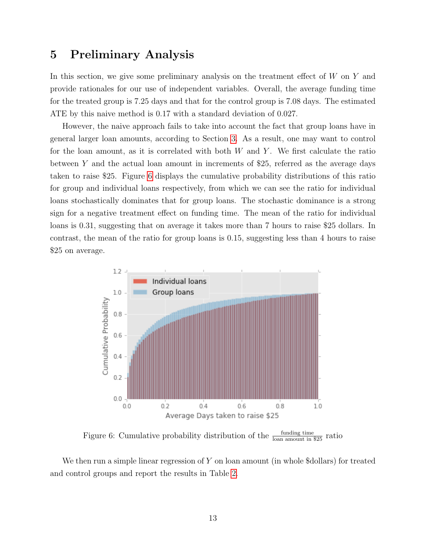# <span id="page-12-0"></span>5 Preliminary Analysis

In this section, we give some preliminary analysis on the treatment effect of  $W$  on  $Y$  and provide rationales for our use of independent variables. Overall, the average funding time for the treated group is 7.25 days and that for the control group is 7.08 days. The estimated ATE by this naive method is 0.17 with a standard deviation of 0.027.

However, the naive approach fails to take into account the fact that group loans have in general larger loan amounts, according to Section [3.](#page-5-0) As a result, one may want to control for the loan amount, as it is correlated with both  $W$  and  $Y$ . We first calculate the ratio between Y and the actual loan amount in increments of \$25, referred as the average days taken to raise \$25. Figure [6](#page-12-1) displays the cumulative probability distributions of this ratio for group and individual loans respectively, from which we can see the ratio for individual loans stochastically dominates that for group loans. The stochastic dominance is a strong sign for a negative treatment effect on funding time. The mean of the ratio for individual loans is 0.31, suggesting that on average it takes more than 7 hours to raise \$25 dollars. In contrast, the mean of the ratio for group loans is 0.15, suggesting less than 4 hours to raise \$25 on average.

<span id="page-12-1"></span>

Figure 6: Cumulative probability distribution of the  $\frac{\text{funding time}}{\text{lean amount in $25}}$  ratio

We then run a simple linear regression of Y on loan amount (in whole \$dollars) for treated and control groups and report the results in Table [2.](#page-13-0)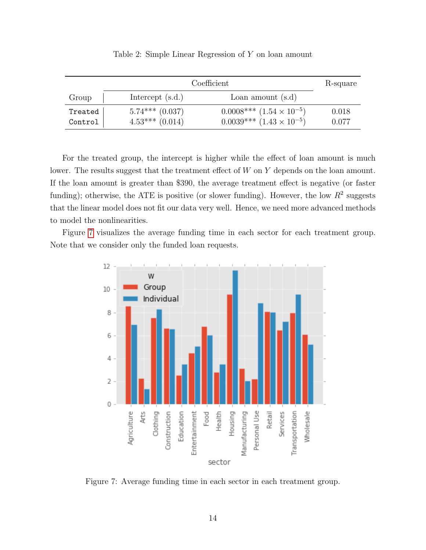<span id="page-13-0"></span>

|                    | Coefficient                              |                                                                            |                |  |
|--------------------|------------------------------------------|----------------------------------------------------------------------------|----------------|--|
| Group              | Intercept $(s.d.)$                       | Loan amount $(s.d)$                                                        |                |  |
| Treated<br>Control | $5.74***$ $(0.037)$<br>$4.53***$ (0.014) | $0.0008***$ $(1.54 \times 10^{-5})$<br>$0.0039***$ $(1.43 \times 10^{-5})$ | 0.018<br>0.077 |  |

Table 2: Simple Linear Regression of Y on loan amount

For the treated group, the intercept is higher while the effect of loan amount is much lower. The results suggest that the treatment effect of  $W$  on  $Y$  depends on the loan amount. If the loan amount is greater than \$390, the average treatment effect is negative (or faster funding); otherwise, the ATE is positive (or slower funding). However, the low  $R^2$  suggests that the linear model does not fit our data very well. Hence, we need more advanced methods to model the nonlinearities.

<span id="page-13-1"></span>Figure [7](#page-13-1) visualizes the average funding time in each sector for each treatment group. Note that we consider only the funded loan requests.



Figure 7: Average funding time in each sector in each treatment group.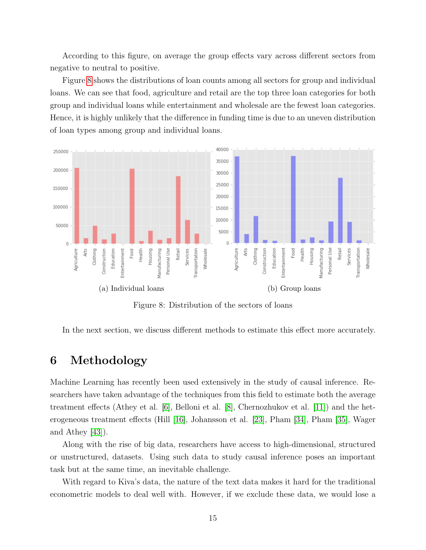According to this figure, on average the group effects vary across different sectors from negative to neutral to positive.

Figure [8](#page-14-1) shows the distributions of loan counts among all sectors for group and individual loans. We can see that food, agriculture and retail are the top three loan categories for both group and individual loans while entertainment and wholesale are the fewest loan categories. Hence, it is highly unlikely that the difference in funding time is due to an uneven distribution of loan types among group and individual loans.

<span id="page-14-1"></span>

Figure 8: Distribution of the sectors of loans

In the next section, we discuss different methods to estimate this effect more accurately.

# <span id="page-14-0"></span>6 Methodology

Machine Learning has recently been used extensively in the study of causal inference. Researchers have taken advantage of the techniques from this field to estimate both the average treatment effects (Athey et al. [\[6\]](#page-27-7), Belloni et al. [\[8\]](#page-27-8), Chernozhukov et al. [\[11\]](#page-27-9)) and the heterogeneous treatment effects (Hill [\[16\]](#page-28-8), Johansson et al. [\[23\]](#page-28-9), Pham [\[34\]](#page-29-6), Pham [\[35\]](#page-29-7), Wager and Athey [\[43\]](#page-30-7)).

Along with the rise of big data, researchers have access to high-dimensional, structured or unstructured, datasets. Using such data to study causal inference poses an important task but at the same time, an inevitable challenge.

With regard to Kiva's data, the nature of the text data makes it hard for the traditional econometric models to deal well with. However, if we exclude these data, we would lose a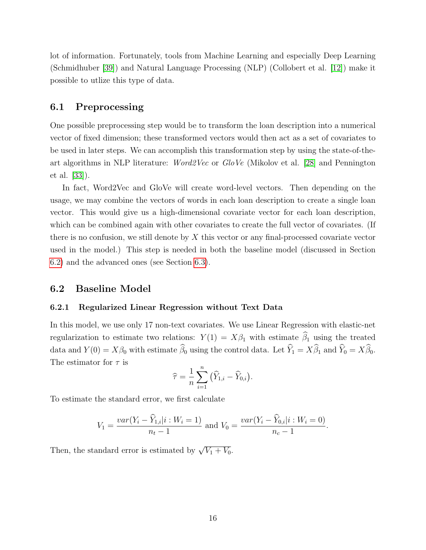lot of information. Fortunately, tools from Machine Learning and especially Deep Learning (Schmidhuber [\[39\]](#page-30-8)) and Natural Language Processing (NLP) (Collobert et al. [\[12\]](#page-28-10)) make it possible to utlize this type of data.

#### <span id="page-15-1"></span>6.1 Preprocessing

One possible preprocessing step would be to transform the loan description into a numerical vector of fixed dimension; these transformed vectors would then act as a set of covariates to be used in later steps. We can accomplish this transformation step by using the state-of-theart algorithms in NLP literature: Word2Vec or GloVe (Mikolov et al. [\[28\]](#page-29-8) and Pennington et al. [\[33\]](#page-29-9)).

In fact, Word2Vec and GloVe will create word-level vectors. Then depending on the usage, we may combine the vectors of words in each loan description to create a single loan vector. This would give us a high-dimensional covariate vector for each loan description, which can be combined again with other covariates to create the full vector of covariates. (If there is no confusion, we still denote by  $X$  this vector or any final-processed covariate vector used in the model.) This step is needed in both the baseline model (discussed in Section [6.2\)](#page-15-0) and the advanced ones (see Section [6.3\)](#page-16-0).

#### <span id="page-15-0"></span>6.2 Baseline Model

#### <span id="page-15-2"></span>6.2.1 Regularized Linear Regression without Text Data

In this model, we use only 17 non-text covariates. We use Linear Regression with elastic-net regularization to estimate two relations:  $Y(1) = X\beta_1$  with estimate  $\widehat{\beta}_1$  using the treated data and  $Y(0) = X\beta_0$  with estimate  $\widehat{\beta}_0$  using the control data. Let  $\widehat{Y}_1 = X\widehat{\beta}_1$  and  $\widehat{Y}_0 = X\widehat{\beta}_0$ . The estimator for  $\tau$  is

$$
\widehat{\tau} = \frac{1}{n} \sum_{i=1}^n (\widehat{Y}_{1,i} - \widehat{Y}_{0,i}).
$$

To estimate the standard error, we first calculate

$$
V_1 = \frac{var(Y_i - \widehat{Y}_{1,i}|i : W_i = 1)}{n_t - 1}
$$
 and  $V_0 = \frac{var(Y_i - \widehat{Y}_{0,i}|i : W_i = 0)}{n_c - 1}$ .

Then, the standard error is estimated by  $\sqrt{V_1 + V_0}$ .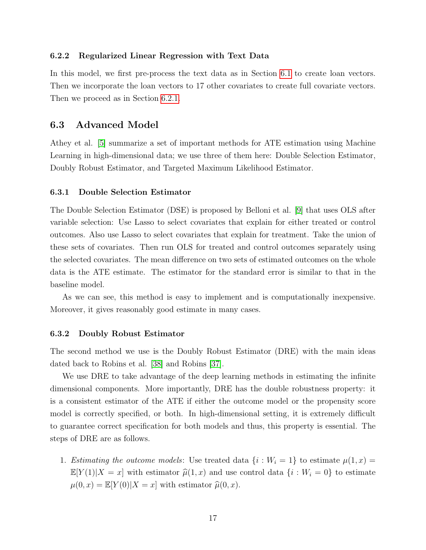#### 6.2.2 Regularized Linear Regression with Text Data

In this model, we first pre-process the text data as in Section [6.1](#page-15-1) to create loan vectors. Then we incorporate the loan vectors to 17 other covariates to create full covariate vectors. Then we proceed as in Section [6.2.1.](#page-15-2)

#### <span id="page-16-0"></span>6.3 Advanced Model

Athey et al. [\[5\]](#page-27-5) summarize a set of important methods for ATE estimation using Machine Learning in high-dimensional data; we use three of them here: Double Selection Estimator, Doubly Robust Estimator, and Targeted Maximum Likelihood Estimator.

#### 6.3.1 Double Selection Estimator

The Double Selection Estimator (DSE) is proposed by Belloni et al. [\[9\]](#page-27-6) that uses OLS after variable selection: Use Lasso to select covariates that explain for either treated or control outcomes. Also use Lasso to select covariates that explain for treatment. Take the union of these sets of covariates. Then run OLS for treated and control outcomes separately using the selected covariates. The mean difference on two sets of estimated outcomes on the whole data is the ATE estimate. The estimator for the standard error is similar to that in the baseline model.

As we can see, this method is easy to implement and is computationally inexpensive. Moreover, it gives reasonably good estimate in many cases.

#### 6.3.2 Doubly Robust Estimator

The second method we use is the Doubly Robust Estimator (DRE) with the main ideas dated back to Robins et al. [\[38\]](#page-30-4) and Robins [\[37\]](#page-30-9).

We use DRE to take advantage of the deep learning methods in estimating the infinite dimensional components. More importantly, DRE has the double robustness property: it is a consistent estimator of the ATE if either the outcome model or the propensity score model is correctly specified, or both. In high-dimensional setting, it is extremely difficult to guarantee correct specification for both models and thus, this property is essential. The steps of DRE are as follows.

1. Estimating the outcome models: Use treated data  $\{i : W_i = 1\}$  to estimate  $\mu(1, x) =$  $\mathbb{E}[Y(1)|X=x]$  with estimator  $\widehat{\mu}(1, x)$  and use control data  $\{i : W_i = 0\}$  to estimate  $\mu(0, x) = \mathbb{E}[Y(0)|X=x]$  with estimator  $\widehat{\mu}(0, x)$ .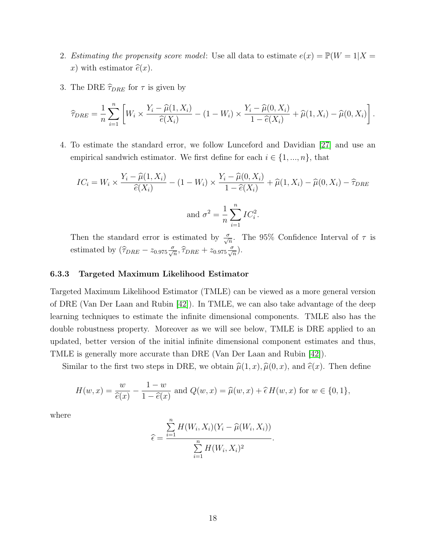- 2. Estimating the propensity score model: Use all data to estimate  $e(x) = \mathbb{P}(W = 1 | X =$ x) with estimator  $\hat{e}(x)$ .
- 3. The DRE  $\hat{\tau}_{DRE}$  for  $\tau$  is given by

$$
\widehat{\tau}_{DRE} = \frac{1}{n} \sum_{i=1}^n \left[ W_i \times \frac{Y_i - \widehat{\mu}(1, X_i)}{\widehat{e}(X_i)} - (1 - W_i) \times \frac{Y_i - \widehat{\mu}(0, X_i)}{1 - \widehat{e}(X_i)} + \widehat{\mu}(1, X_i) - \widehat{\mu}(0, X_i) \right].
$$

4. To estimate the standard error, we follow Lunceford and Davidian [\[27\]](#page-29-10) and use an empirical sandwich estimator. We first define for each  $i \in \{1, ..., n\}$ , that

$$
IC_i = W_i \times \frac{Y_i - \widehat{\mu}(1, X_i)}{\widehat{e}(X_i)} - (1 - W_i) \times \frac{Y_i - \widehat{\mu}(0, X_i)}{1 - \widehat{e}(X_i)} + \widehat{\mu}(1, X_i) - \widehat{\mu}(0, X_i) - \widehat{\tau}_{DRE}
$$
  
and 
$$
\sigma^2 = \frac{1}{n} \sum_{i=1}^n IC_i^2.
$$

Then the standard error is estimated by  $\frac{\sigma}{\sqrt{n}}$ . The 95% Confidence Interval of  $\tau$  is estimated by  $(\widehat{\tau}_{DRE} - z_{0.975} \frac{\sigma}{\sqrt{n}}, \widehat{\tau}_{DRE} + z_{0.975} \frac{\sigma}{\sqrt{n}}).$ 

#### 6.3.3 Targeted Maximum Likelihood Estimator

Targeted Maximum Likelihood Estimator (TMLE) can be viewed as a more general version of DRE (Van Der Laan and Rubin [\[42\]](#page-30-5)). In TMLE, we can also take advantage of the deep learning techniques to estimate the infinite dimensional components. TMLE also has the double robustness property. Moreover as we will see below, TMLE is DRE applied to an updated, better version of the initial infinite dimensional component estimates and thus, TMLE is generally more accurate than DRE (Van Der Laan and Rubin [\[42\]](#page-30-5)).

Similar to the first two steps in DRE, we obtain  $\hat{\mu}(1, x), \hat{\mu}(0, x)$ , and  $\hat{e}(x)$ . Then define

$$
H(w,x) = \frac{w}{\hat{e}(x)} - \frac{1-w}{1-\hat{e}(x)}
$$
 and  $Q(w,x) = \hat{\mu}(w,x) + \hat{\epsilon}H(w,x)$  for  $w \in \{0,1\},\$ 

where

$$
\widehat{\epsilon} = \frac{\sum_{i=1}^{n} H(W_i, X_i)(Y_i - \widehat{\mu}(W_i, X_i))}{\sum_{i=1}^{n} H(W_i, X_i)^2}.
$$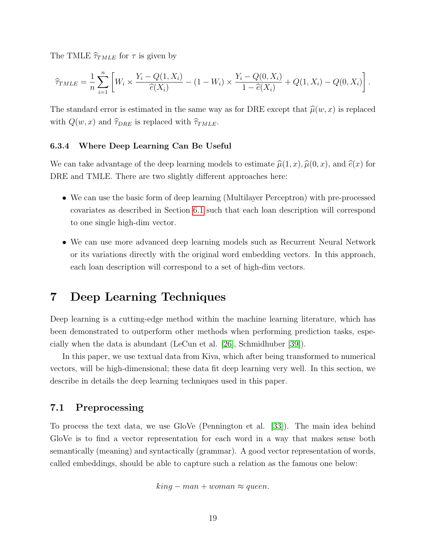The TMLE  $\hat{\tau}_{TMLE}$  for  $\tau$  is given by

$$
\widehat{\tau}_{TMLE} = \frac{1}{n} \sum_{i=1}^{n} \left[ W_i \times \frac{Y_i - Q(1, X_i)}{\widehat{e}(X_i)} - (1 - W_i) \times \frac{Y_i - Q(0, X_i)}{1 - \widehat{e}(X_i)} + Q(1, X_i) - Q(0, X_i) \right].
$$

The standard error is estimated in the same way as for DRE except that  $\hat{\mu}(w, x)$  is replaced with  $Q(w, x)$  and  $\hat{\tau}_{DRE}$  is replaced with  $\hat{\tau}_{TMLE}$ .

#### 6.3.4 Where Deep Learning Can Be Useful

We can take advantage of the deep learning models to estimate  $\hat{\mu}(1, x), \hat{\mu}(0, x)$ , and  $\hat{e}(x)$  for DRE and TMLE. There are two slightly different approaches here:

- We can use the basic form of deep learning (Multilayer Perceptron) with pre-processed covariates as described in Section [6.1](#page-15-1) such that each loan description will correspond to one single high-dim vector.
- We can use more advanced deep learning models such as Recurrent Neural Network or its variations directly with the original word embedding vectors. In this approach, each loan description will correspond to a set of high-dim vectors.

# <span id="page-18-0"></span>7 Deep Learning Techniques

Deep learning is a cutting-edge method within the machine learning literature, which has been demonstrated to outperform other methods when performing prediction tasks, especially when the data is abundant (LeCun et al. [\[26\]](#page-29-11), Schmidhuber [\[39\]](#page-30-8)).

In this paper, we use textual data from Kiva, which after being transformed to numerical vectors, will be high-dimensional; these data fit deep learning very well. In this section, we describe in details the deep learning techniques used in this paper.

#### 7.1 Preprocessing

To process the text data, we use GloVe (Pennington et al. [\[33\]](#page-29-9)). The main idea behind GloVe is to find a vector representation for each word in a way that makes sense both semantically (meaning) and syntactically (grammar). A good vector representation of words, called embeddings, should be able to capture such a relation as the famous one below:

$$
king - man + woman \approx queen.
$$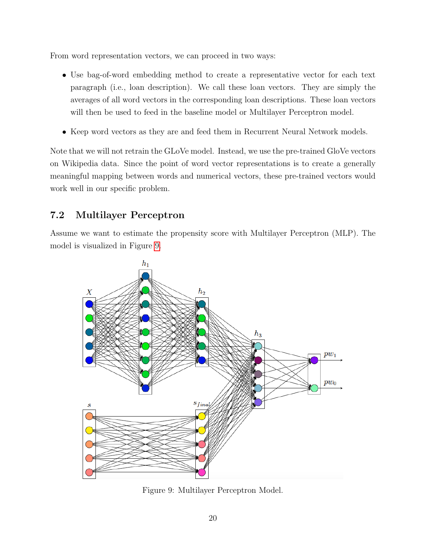From word representation vectors, we can proceed in two ways:

- Use bag-of-word embedding method to create a representative vector for each text paragraph (i.e., loan description). We call these loan vectors. They are simply the averages of all word vectors in the corresponding loan descriptions. These loan vectors will then be used to feed in the baseline model or Multilayer Perceptron model.
- Keep word vectors as they are and feed them in Recurrent Neural Network models.

Note that we will not retrain the GLoVe model. Instead, we use the pre-trained GloVe vectors on Wikipedia data. Since the point of word vector representations is to create a generally meaningful mapping between words and numerical vectors, these pre-trained vectors would work well in our specific problem.

# 7.2 Multilayer Perceptron

Assume we want to estimate the propensity score with Multilayer Perceptron (MLP). The model is visualized in Figure [9.](#page-19-0)

<span id="page-19-0"></span>

Figure 9: Multilayer Perceptron Model.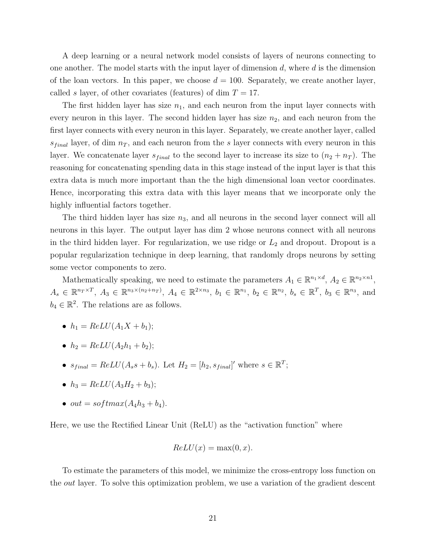A deep learning or a neural network model consists of layers of neurons connecting to one another. The model starts with the input layer of dimension  $d$ , where  $d$  is the dimension of the loan vectors. In this paper, we choose  $d = 100$ . Separately, we create another layer, called s layer, of other covariates (features) of dim  $T = 17$ .

The first hidden layer has size  $n_1$ , and each neuron from the input layer connects with every neuron in this layer. The second hidden layer has size  $n_2$ , and each neuron from the first layer connects with every neuron in this layer. Separately, we create another layer, called  $s_{final}$  layer, of dim  $n<sub>T</sub>$ , and each neuron from the s layer connects with every neuron in this layer. We concatenate layer  $s_{final}$  to the second layer to increase its size to  $(n_2 + n_T)$ . The reasoning for concatenating spending data in this stage instead of the input layer is that this extra data is much more important than the the high dimensional loan vector coordinates. Hence, incorporating this extra data with this layer means that we incorporate only the highly influential factors together.

The third hidden layer has size  $n_3$ , and all neurons in the second layer connect will all neurons in this layer. The output layer has dim 2 whose neurons connect with all neurons in the third hidden layer. For regularization, we use ridge or  $L_2$  and dropout. Dropout is a popular regularization technique in deep learning, that randomly drops neurons by setting some vector components to zero.

Mathematically speaking, we need to estimate the parameters  $A_1 \in \mathbb{R}^{n_1 \times d}$ ,  $A_2 \in \mathbb{R}^{n_2 \times n_1}$ ,  $A_s \in \mathbb{R}^{n_T \times T}$ ,  $A_3 \in \mathbb{R}^{n_3 \times (n_2 + n_T)}$ ,  $A_4 \in \mathbb{R}^{2 \times n_3}$ ,  $b_1 \in \mathbb{R}^{n_1}$ ,  $b_2 \in \mathbb{R}^{n_2}$ ,  $b_s \in \mathbb{R}^T$ ,  $b_3 \in \mathbb{R}^{n_3}$ , and  $b_4 \in \mathbb{R}^2$ . The relations are as follows.

- $h_1 = ReLU(A_1X + b_1);$
- $h_2 = ReLU(A_2h_1 + b_2);$
- $s_{final} = ReLU(A_s s + b_s)$ . Let  $H_2 = [h_2, s_{final}]'$  where  $s \in \mathbb{R}^T$ ;
- $h_3 = ReLU(A_3H_2 + b_3);$
- out = softmax $(A_4h_3 + b_4)$ .

Here, we use the Rectified Linear Unit (ReLU) as the "activation function" where

$$
ReLU(x) = \max(0, x).
$$

To estimate the parameters of this model, we minimize the cross-entropy loss function on the *out* layer. To solve this optimization problem, we use a variation of the gradient descent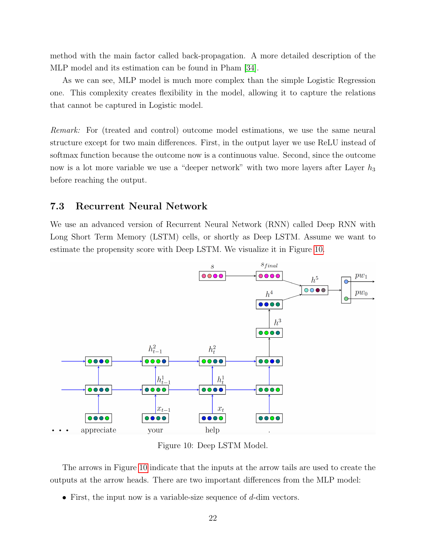method with the main factor called back-propagation. A more detailed description of the MLP model and its estimation can be found in Pham [\[34\]](#page-29-6).

As we can see, MLP model is much more complex than the simple Logistic Regression one. This complexity creates flexibility in the model, allowing it to capture the relations that cannot be captured in Logistic model.

Remark: For (treated and control) outcome model estimations, we use the same neural structure except for two main differences. First, in the output layer we use ReLU instead of softmax function because the outcome now is a continuous value. Second, since the outcome now is a lot more variable we use a "deeper network" with two more layers after Layer  $h_3$ before reaching the output.

### 7.3 Recurrent Neural Network

We use an advanced version of Recurrent Neural Network (RNN) called Deep RNN with Long Short Term Memory (LSTM) cells, or shortly as Deep LSTM. Assume we want to estimate the propensity score with Deep LSTM. We visualize it in Figure [10.](#page-21-0)

<span id="page-21-0"></span>

Figure 10: Deep LSTM Model.

The arrows in Figure [10](#page-21-0) indicate that the inputs at the arrow tails are used to create the outputs at the arrow heads. There are two important differences from the MLP model:

• First, the input now is a variable-size sequence of  $d$ -dim vectors.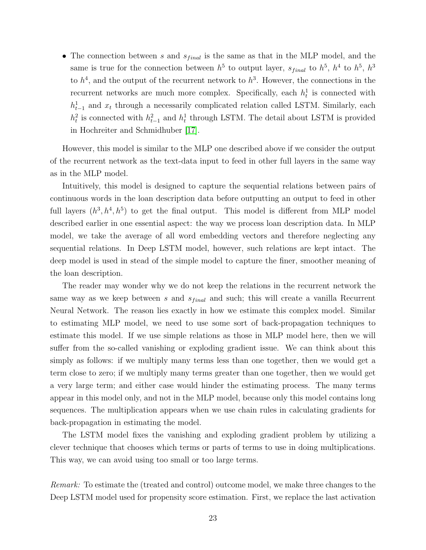• The connection between s and  $s_{final}$  is the same as that in the MLP model, and the same is true for the connection between  $h^5$  to output layer,  $s_{final}$  to  $h^5$ ,  $h^4$  to  $h^5$ ,  $h^3$ to  $h^4$ , and the output of the recurrent network to  $h^3$ . However, the connections in the recurrent networks are much more complex. Specifically, each  $h_t$  is connected with  $h_{t-1}^1$  and  $x_t$  through a necessarily complicated relation called LSTM. Similarly, each  $h_t^2$  is connected with  $h_{t-1}^2$  and  $h_t^1$  through LSTM. The detail about LSTM is provided in Hochreiter and Schmidhuber [\[17\]](#page-28-11).

However, this model is similar to the MLP one described above if we consider the output of the recurrent network as the text-data input to feed in other full layers in the same way as in the MLP model.

Intuitively, this model is designed to capture the sequential relations between pairs of continuous words in the loan description data before outputting an output to feed in other full layers  $(h^3, h^4, h^5)$  to get the final output. This model is different from MLP model described earlier in one essential aspect: the way we process loan description data. In MLP model, we take the average of all word embedding vectors and therefore neglecting any sequential relations. In Deep LSTM model, however, such relations are kept intact. The deep model is used in stead of the simple model to capture the finer, smoother meaning of the loan description.

The reader may wonder why we do not keep the relations in the recurrent network the same way as we keep between s and  $s_{final}$  and such; this will create a vanilla Recurrent Neural Network. The reason lies exactly in how we estimate this complex model. Similar to estimating MLP model, we need to use some sort of back-propagation techniques to estimate this model. If we use simple relations as those in MLP model here, then we will suffer from the so-called vanishing or exploding gradient issue. We can think about this simply as follows: if we multiply many terms less than one together, then we would get a term close to zero; if we multiply many terms greater than one together, then we would get a very large term; and either case would hinder the estimating process. The many terms appear in this model only, and not in the MLP model, because only this model contains long sequences. The multiplication appears when we use chain rules in calculating gradients for back-propagation in estimating the model.

The LSTM model fixes the vanishing and exploding gradient problem by utilizing a clever technique that chooses which terms or parts of terms to use in doing multiplications. This way, we can avoid using too small or too large terms.

Remark: To estimate the (treated and control) outcome model, we make three changes to the Deep LSTM model used for propensity score estimation. First, we replace the last activation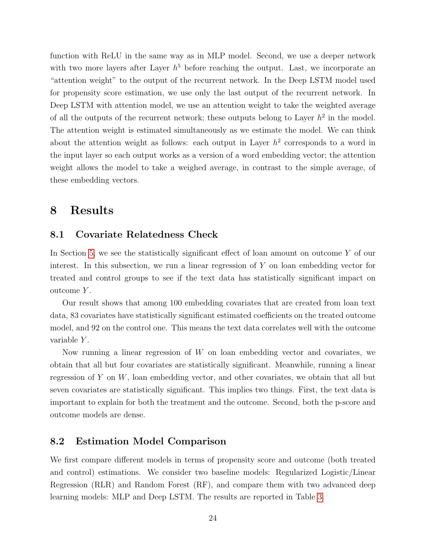function with ReLU in the same way as in MLP model. Second, we use a deeper network with two more layers after Layer  $h^5$  before reaching the output. Last, we incorporate an "attention weight" to the output of the recurrent network. In the Deep LSTM model used for propensity score estimation, we use only the last output of the recurrent network. In Deep LSTM with attention model, we use an attention weight to take the weighted average of all the outputs of the recurrent network; these outputs belong to Layer  $h^2$  in the model. The attention weight is estimated simultaneously as we estimate the model. We can think about the attention weight as follows: each output in Layer  $h^2$  corresponds to a word in the input layer so each output works as a version of a word embedding vector; the attention weight allows the model to take a weighed average, in contrast to the simple average, of these embedding vectors.

# <span id="page-23-0"></span>8 Results

### 8.1 Covariate Relatedness Check

In Section [5,](#page-12-0) we see the statistically significant effect of loan amount on outcome Y of our interest. In this subsection, we run a linear regression of  $Y$  on loan embedding vector for treated and control groups to see if the text data has statistically significant impact on outcome Y .

Our result shows that among 100 embedding covariates that are created from loan text data, 83 covariates have statistically significant estimated coefficients on the treated outcome model, and 92 on the control one. This means the text data correlates well with the outcome variable Y.

Now running a linear regression of  $W$  on loan embedding vector and covariates, we obtain that all but four covariates are statistically significant. Meanwhile, running a linear regression of  $Y$  on  $W$ , loan embedding vector, and other covariates, we obtain that all but seven covariates are statistically significant. This implies two things. First, the text data is important to explain for both the treatment and the outcome. Second, both the p-score and outcome models are dense.

### 8.2 Estimation Model Comparison

We first compare different models in terms of propensity score and outcome (both treated and control) estimations. We consider two baseline models: Regularized Logistic/Linear Regression (RLR) and Random Forest (RF), and compare them with two advanced deep learning models: MLP and Deep LSTM. The results are reported in Table [3.](#page-24-0)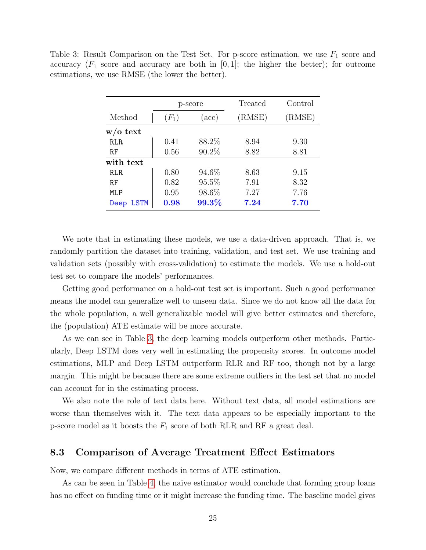|            | p-score |                  | Treated | Control |
|------------|---------|------------------|---------|---------|
| Method     | $(F_1)$ | $(\mathrm{acc})$ | (RMSE)  | (RMSE)  |
| $w/o$ text |         |                  |         |         |
| <b>RLR</b> | 0.41    | 88.2%            | 8.94    | 9.30    |
| RF         | 0.56    | 90.2%            | 8.82    | 8.81    |
| with text  |         |                  |         |         |
| RLR.       | 0.80    | 94.6%            | 8.63    | 9.15    |
| RF         | 0.82    | 95.5%            | 7.91    | 8.32    |
| MLP        | 0.95    | 98.6%            | 7.27    | 7.76    |
| Deep LSTM  | 0.98    | 99.3%            | 7.24    | 7.70    |

<span id="page-24-0"></span>Table 3: Result Comparison on the Test Set. For p-score estimation, we use  $F_1$  score and accuracy  $(F_1 \text{ score and accuracy are both in } [0,1];$  the higher the better); for outcome estimations, we use RMSE (the lower the better).

We note that in estimating these models, we use a data-driven approach. That is, we randomly partition the dataset into training, validation, and test set. We use training and validation sets (possibly with cross-validation) to estimate the models. We use a hold-out test set to compare the models' performances.

Getting good performance on a hold-out test set is important. Such a good performance means the model can generalize well to unseen data. Since we do not know all the data for the whole population, a well generalizable model will give better estimates and therefore, the (population) ATE estimate will be more accurate.

As we can see in Table [3,](#page-24-0) the deep learning models outperform other methods. Particularly, Deep LSTM does very well in estimating the propensity scores. In outcome model estimations, MLP and Deep LSTM outperform RLR and RF too, though not by a large margin. This might be because there are some extreme outliers in the test set that no model can account for in the estimating process.

We also note the role of text data here. Without text data, all model estimations are worse than themselves with it. The text data appears to be especially important to the p-score model as it boosts the  $F_1$  score of both RLR and RF a great deal.

### 8.3 Comparison of Average Treatment Effect Estimators

Now, we compare different methods in terms of ATE estimation.

As can be seen in Table [4,](#page-25-0) the naive estimator would conclude that forming group loans has no effect on funding time or it might increase the funding time. The baseline model gives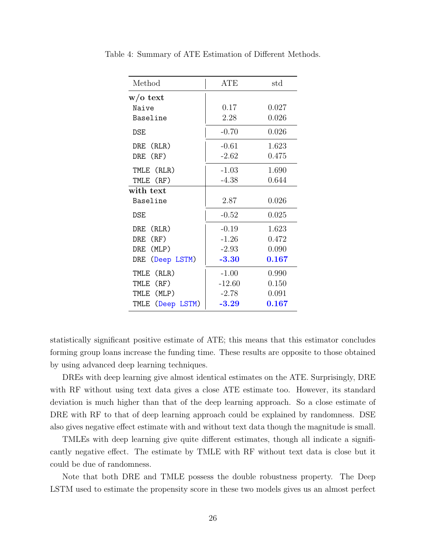| Method              | ATE      | std   |
|---------------------|----------|-------|
| $w/o$ text          |          |       |
| Naive               | 0.17     | 0.027 |
| Baseline            | 2.28     | 0.026 |
| <b>DSE</b>          | $-0.70$  | 0.026 |
| DRE (RLR)           | $-0.61$  | 1.623 |
| DRE (RF)            | $-2.62$  | 0.475 |
| TMLE (RLR)          | $-1.03$  | 1.690 |
| TMLE (RF)           | $-4.38$  | 0.644 |
| with text           |          |       |
| Baseline            | 2.87     | 0.026 |
| DSE                 | $-0.52$  | 0.025 |
| DRE (RLR)           | $-0.19$  | 1.623 |
| DRE (RF)            | $-1.26$  | 0.472 |
| DRE (MLP)           | $-2.93$  | 0.090 |
| DRE (Deep LSTM)     | $-3.30$  | 0.167 |
| TMLE (RLR)          | $-1.00$  | 0.990 |
| TMLE<br>(RF)        | $-12.60$ | 0.150 |
| (MLP)<br>TMLE       | $-2.78$  | 0.091 |
| (Deep LSTM)<br>TMLE | $-3.29$  | 0.167 |

<span id="page-25-0"></span>Table 4: Summary of ATE Estimation of Different Methods.

statistically significant positive estimate of ATE; this means that this estimator concludes forming group loans increase the funding time. These results are opposite to those obtained by using advanced deep learning techniques.

DREs with deep learning give almost identical estimates on the ATE. Surprisingly, DRE with RF without using text data gives a close ATE estimate too. However, its standard deviation is much higher than that of the deep learning approach. So a close estimate of DRE with RF to that of deep learning approach could be explained by randomness. DSE also gives negative effect estimate with and without text data though the magnitude is small.

TMLEs with deep learning give quite different estimates, though all indicate a significantly negative effect. The estimate by TMLE with RF without text data is close but it could be due of randomness.

Note that both DRE and TMLE possess the double robustness property. The Deep LSTM used to estimate the propensity score in these two models gives us an almost perfect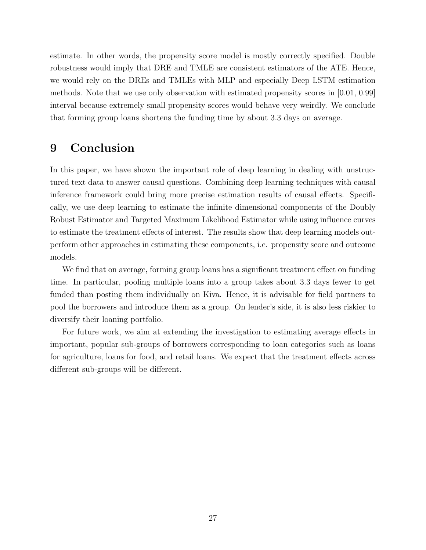estimate. In other words, the propensity score model is mostly correctly specified. Double robustness would imply that DRE and TMLE are consistent estimators of the ATE. Hence, we would rely on the DREs and TMLEs with MLP and especially Deep LSTM estimation methods. Note that we use only observation with estimated propensity scores in [0.01, 0.99] interval because extremely small propensity scores would behave very weirdly. We conclude that forming group loans shortens the funding time by about 3.3 days on average.

# <span id="page-26-0"></span>9 Conclusion

In this paper, we have shown the important role of deep learning in dealing with unstructured text data to answer causal questions. Combining deep learning techniques with causal inference framework could bring more precise estimation results of causal effects. Specifically, we use deep learning to estimate the infinite dimensional components of the Doubly Robust Estimator and Targeted Maximum Likelihood Estimator while using influence curves to estimate the treatment effects of interest. The results show that deep learning models outperform other approaches in estimating these components, i.e. propensity score and outcome models.

We find that on average, forming group loans has a significant treatment effect on funding time. In particular, pooling multiple loans into a group takes about 3.3 days fewer to get funded than posting them individually on Kiva. Hence, it is advisable for field partners to pool the borrowers and introduce them as a group. On lender's side, it is also less riskier to diversify their loaning portfolio.

For future work, we aim at extending the investigation to estimating average effects in important, popular sub-groups of borrowers corresponding to loan categories such as loans for agriculture, loans for food, and retail loans. We expect that the treatment effects across different sub-groups will be different.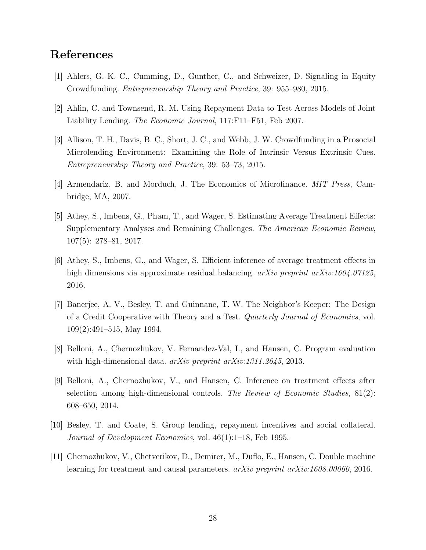# References

- [1] Ahlers, G. K. C., Cumming, D., Gunther, C., and Schweizer, D. Signaling in Equity Crowdfunding. Entrepreneurship Theory and Practice, 39: 955–980, 2015.
- <span id="page-27-4"></span>[2] Ahlin, C. and Townsend, R. M. Using Repayment Data to Test Across Models of Joint Liability Lending. *The Economic Journal*, 117:F11–F51, Feb 2007.
- <span id="page-27-1"></span>[3] Allison, T. H., Davis, B. C., Short, J. C., and Webb, J. W. Crowdfunding in a Prosocial Microlending Environment: Examining the Role of Intrinsic Versus Extrinsic Cues. Entrepreneurship Theory and Practice, 39: 53–73, 2015.
- <span id="page-27-0"></span>[4] Armendariz, B. and Morduch, J. The Economics of Microfinance. MIT Press, Cambridge, MA, 2007.
- <span id="page-27-5"></span>[5] Athey, S., Imbens, G., Pham, T., and Wager, S. Estimating Average Treatment Effects: Supplementary Analyses and Remaining Challenges. The American Economic Review, 107(5): 278–81, 2017.
- <span id="page-27-7"></span>[6] Athey, S., Imbens, G., and Wager, S. Efficient inference of average treatment effects in high dimensions via approximate residual balancing.  $arXiv$  preprint  $arXiv:1604.07125$ , 2016.
- <span id="page-27-2"></span>[7] Banerjee, A. V., Besley, T. and Guinnane, T. W. The Neighbor's Keeper: The Design of a Credit Cooperative with Theory and a Test. Quarterly Journal of Economics, vol. 109(2):491–515, May 1994.
- <span id="page-27-8"></span>[8] Belloni, A., Chernozhukov, V. Fernandez-Val, I., and Hansen, C. Program evaluation with high-dimensional data.  $arXiv$  preprint  $arXiv:1311.2645$ , 2013.
- <span id="page-27-6"></span>[9] Belloni, A., Chernozhukov, V., and Hansen, C. Inference on treatment effects after selection among high-dimensional controls. The Review of Economic Studies,  $81(2)$ : 608–650, 2014.
- <span id="page-27-3"></span>[10] Besley, T. and Coate, S. Group lending, repayment incentives and social collateral. Journal of Development Economics, vol. 46(1):1–18, Feb 1995.
- <span id="page-27-9"></span>[11] Chernozhukov, V., Chetverikov, D., Demirer, M., Duflo, E., Hansen, C. Double machine learning for treatment and causal parameters. arXiv preprint arXiv:1608.00060, 2016.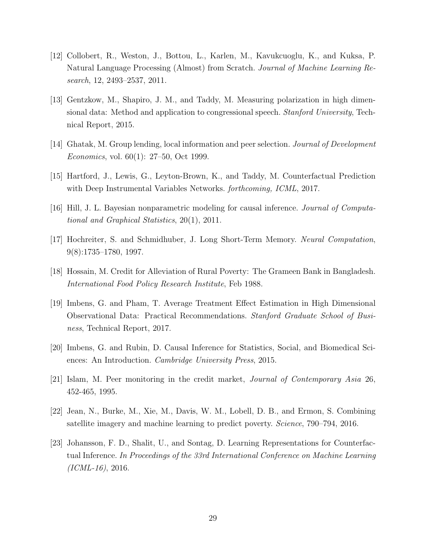- <span id="page-28-10"></span>[12] Collobert, R., Weston, J., Bottou, L., Karlen, M., Kavukcuoglu, K., and Kuksa, P. Natural Language Processing (Almost) from Scratch. Journal of Machine Learning Research, 12, 2493–2537, 2011.
- <span id="page-28-4"></span>[13] Gentzkow, M., Shapiro, J. M., and Taddy, M. Measuring polarization in high dimensional data: Method and application to congressional speech. *Stanford University*, Technical Report, 2015.
- <span id="page-28-1"></span>[14] Ghatak, M. Group lending, local information and peer selection. Journal of Development Economics, vol. 60(1): 27–50, Oct 1999.
- <span id="page-28-6"></span>[15] Hartford, J., Lewis, G., Leyton-Brown, K., and Taddy, M. Counterfactual Prediction with Deep Instrumental Variables Networks. *forthcoming, ICML*, 2017.
- <span id="page-28-8"></span>[16] Hill, J. L. Bayesian nonparametric modeling for causal inference. Journal of Computational and Graphical Statistics, 20(1), 2011.
- <span id="page-28-11"></span>[17] Hochreiter, S. and Schmidhuber, J. Long Short-Term Memory. Neural Computation, 9(8):1735–1780, 1997.
- <span id="page-28-0"></span>[18] Hossain, M. Credit for Alleviation of Rural Poverty: The Grameen Bank in Bangladesh. International Food Policy Research Institute, Feb 1988.
- <span id="page-28-3"></span>[19] Imbens, G. and Pham, T. Average Treatment Effect Estimation in High Dimensional Observational Data: Practical Recommendations. Stanford Graduate School of Business, Technical Report, 2017.
- <span id="page-28-7"></span>[20] Imbens, G. and Rubin, D. Causal Inference for Statistics, Social, and Biomedical Sciences: An Introduction. Cambridge University Press, 2015.
- <span id="page-28-2"></span>[21] Islam, M. Peer monitoring in the credit market, Journal of Contemporary Asia 26, 452-465, 1995.
- <span id="page-28-5"></span>[22] Jean, N., Burke, M., Xie, M., Davis, W. M., Lobell, D. B., and Ermon, S. Combining satellite imagery and machine learning to predict poverty. Science, 790–794, 2016.
- <span id="page-28-9"></span>[23] Johansson, F. D., Shalit, U., and Sontag, D. Learning Representations for Counterfactual Inference. In Proceedings of the 33rd International Conference on Machine Learning  $(ICML-16)$ , 2016.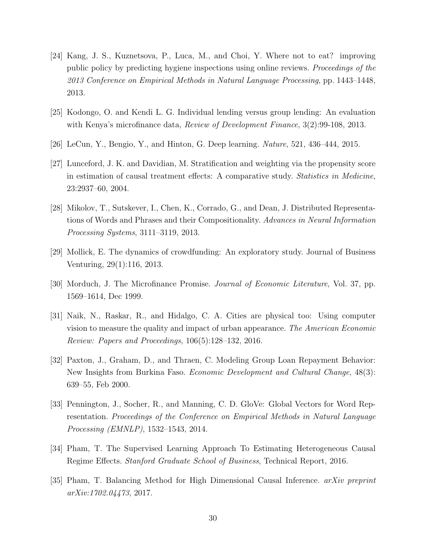- <span id="page-29-4"></span>[24] Kang, J. S., Kuznetsova, P., Luca, M., and Choi, Y. Where not to eat? improving public policy by predicting hygiene inspections using online reviews. Proceedings of the 2013 Conference on Empirical Methods in Natural Language Processing, pp. 1443–1448, 2013.
- <span id="page-29-0"></span>[25] Kodongo, O. and Kendi L. G. Individual lending versus group lending: An evaluation with Kenya's microfinance data, *Review of Development Finance*, 3(2):99-108, 2013.
- <span id="page-29-11"></span>[26] LeCun, Y., Bengio, Y., and Hinton, G. Deep learning. Nature, 521, 436–444, 2015.
- <span id="page-29-10"></span>[27] Lunceford, J. K. and Davidian, M. Stratification and weighting via the propensity score in estimation of causal treatment effects: A comparative study. Statistics in Medicine, 23:2937–60, 2004.
- <span id="page-29-8"></span>[28] Mikolov, T., Sutskever, I., Chen, K., Corrado, G., and Dean, J. Distributed Representations of Words and Phrases and their Compositionality. Advances in Neural Information Processing Systems, 3111–3119, 2013.
- <span id="page-29-1"></span>[29] Mollick, E. The dynamics of crowdfunding: An exploratory study. Journal of Business Venturing, 29(1):116, 2013.
- <span id="page-29-3"></span>[30] Morduch, J. The Microfinance Promise. Journal of Economic Literature, Vol. 37, pp. 1569–1614, Dec 1999.
- <span id="page-29-5"></span>[31] Naik, N., Raskar, R., and Hidalgo, C. A. Cities are physical too: Using computer vision to measure the quality and impact of urban appearance. The American Economic Review: Papers and Proceedings, 106(5):128–132, 2016.
- <span id="page-29-2"></span>[32] Paxton, J., Graham, D., and Thraen, C. Modeling Group Loan Repayment Behavior: New Insights from Burkina Faso. Economic Development and Cultural Change, 48(3): 639–55, Feb 2000.
- <span id="page-29-9"></span>[33] Pennington, J., Socher, R., and Manning, C. D. GloVe: Global Vectors for Word Representation. Proceedings of the Conference on Empirical Methods in Natural Language Processing (EMNLP), 1532–1543, 2014.
- <span id="page-29-6"></span>[34] Pham, T. The Supervised Learning Approach To Estimating Heterogeneous Causal Regime Effects. Stanford Graduate School of Business, Technical Report, 2016.
- <span id="page-29-7"></span>[35] Pham, T. Balancing Method for High Dimensional Causal Inference. arXiv preprint arXiv:1702.04473, 2017.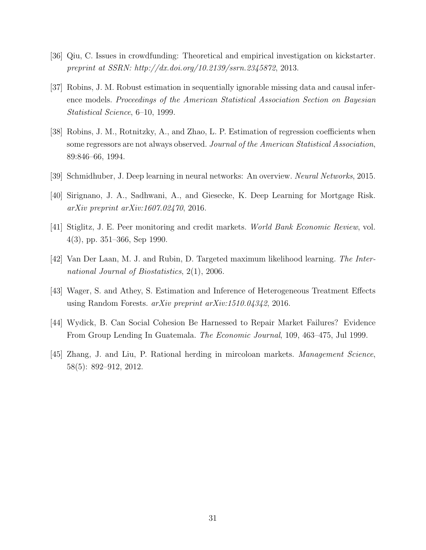- <span id="page-30-0"></span>[36] Qiu, C. Issues in crowdfunding: Theoretical and empirical investigation on kickstarter. preprint at SSRN: http://dx.doi.org/10.2139/ssrn.2345872, 2013.
- <span id="page-30-9"></span>[37] Robins, J. M. Robust estimation in sequentially ignorable missing data and causal inference models. Proceedings of the American Statistical Association Section on Bayesian Statistical Science, 6–10, 1999.
- <span id="page-30-4"></span>[38] Robins, J. M., Rotnitzky, A., and Zhao, L. P. Estimation of regression coefficients when some regressors are not always observed. Journal of the American Statistical Association, 89:846–66, 1994.
- <span id="page-30-8"></span>[39] Schmidhuber, J. Deep learning in neural networks: An overview. Neural Networks, 2015.
- <span id="page-30-6"></span>[40] Sirignano, J. A., Sadhwani, A., and Giesecke, K. Deep Learning for Mortgage Risk. arXiv preprint arXiv:1607.02470, 2016.
- <span id="page-30-2"></span>[41] Stiglitz, J. E. Peer monitoring and credit markets. World Bank Economic Review, vol. 4(3), pp. 351–366, Sep 1990.
- <span id="page-30-5"></span>[42] Van Der Laan, M. J. and Rubin, D. Targeted maximum likelihood learning. The International Journal of Biostatistics, 2(1), 2006.
- <span id="page-30-7"></span>[43] Wager, S. and Athey, S. Estimation and Inference of Heterogeneous Treatment Effects using Random Forests. arXiv preprint arXiv:1510.04342, 2016.
- <span id="page-30-3"></span>[44] Wydick, B. Can Social Cohesion Be Harnessed to Repair Market Failures? Evidence From Group Lending In Guatemala. The Economic Journal, 109, 463–475, Jul 1999.
- <span id="page-30-1"></span>[45] Zhang, J. and Liu, P. Rational herding in mircoloan markets. Management Science, 58(5): 892–912, 2012.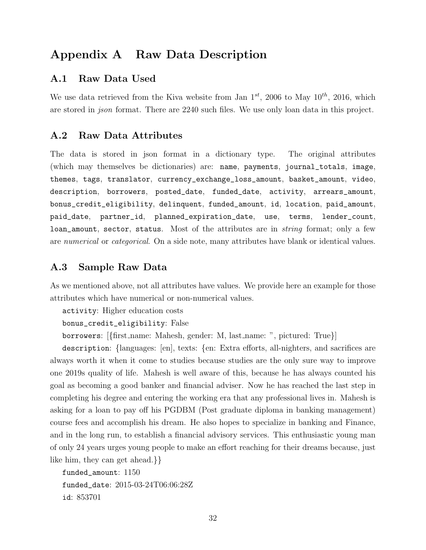# Appendix A Raw Data Description

### A.1 Raw Data Used

We use data retrieved from the Kiva website from Jan  $1^{st}$ , 2006 to May  $10^{th}$ , 2016, which are stored in json format. There are 2240 such files. We use only loan data in this project.

### A.2 Raw Data Attributes

The data is stored in json format in a dictionary type. The original attributes (which may themselves be dictionaries) are: name, payments, journal\_totals, image, themes, tags, translator, currency\_exchange\_loss\_amount, basket\_amount, video, description, borrowers, posted\_date, funded\_date, activity, arrears\_amount, bonus\_credit\_eligibility, delinquent, funded\_amount, id, location, paid\_amount, paid\_date, partner\_id, planned\_expiration\_date, use, terms, lender\_count, loan\_amount, sector, status. Most of the attributes are in *string* format; only a few are numerical or categorical. On a side note, many attributes have blank or identical values.

### A.3 Sample Raw Data

As we mentioned above, not all attributes have values. We provide here an example for those attributes which have numerical or non-numerical values.

activity: Higher education costs

bonus\_credit\_eligibility: False

borrowers: [{first name: Mahesh, gender: M, last name: ", pictured: True}]

description: {languages: [en], texts: {en: Extra efforts, all-nighters, and sacrifices are always worth it when it come to studies because studies are the only sure way to improve one 2019s quality of life. Mahesh is well aware of this, because he has always counted his goal as becoming a good banker and financial adviser. Now he has reached the last step in completing his degree and entering the working era that any professional lives in. Mahesh is asking for a loan to pay off his PGDBM (Post graduate diploma in banking management) course fees and accomplish his dream. He also hopes to specialize in banking and Finance, and in the long run, to establish a financial advisory services. This enthusiastic young man of only 24 years urges young people to make an effort reaching for their dreams because, just like him, they can get ahead.}}

funded\_amount: 1150 funded\_date: 2015-03-24T06:06:28Z id: 853701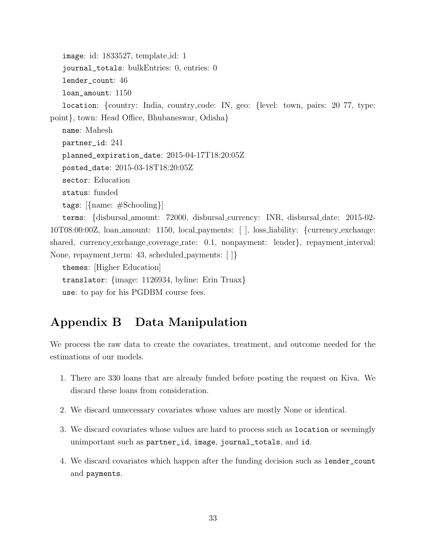image: id: 1833527, template id: 1

journal\_totals: bulkEntries: 0, entries: 0

lender\_count: 46

loan\_amount: 1150

location: {country: India, country code: IN, geo: {level: town, pairs: 20 77, type: point}, town: Head Office, Bhubaneswar, Odisha}

name: Mahesh partner\_id: 241 planned\_expiration\_date: 2015-04-17T18:20:05Z posted\_date: 2015-03-18T18:20:05Z sector: Education status: funded tags: [{name: #Schooling}] terms: {disbursal amount: 72000, disbursal currency: INR, disbursal date: 2015-02-

10T08:00:00Z, loan amount: 1150, local payments: [ ], loss liability: {currency exchange: shared, currency exchange coverage rate:  $0.1$ , nonpayment: lender, repayment interval: None, repayment\_term: 43, scheduled\_payments: [ ]}

themes: [Higher Education] translator: {image: 1126934, byline: Erin Truax} use: to pay for his PGDBM course fees.

# Appendix B Data Manipulation

We process the raw data to create the covariates, treatment, and outcome needed for the estimations of our models.

- 1. There are 330 loans that are already funded before posting the request on Kiva. We discard these loans from consideration.
- 2. We discard unnecessary covariates whose values are mostly None or identical.
- 3. We discard covariates whose values are hard to process such as location or seemingly unimportant such as partner\_id, image, journal\_totals, and id.
- 4. We discard covariates which happen after the funding decision such as lender\_count and payments.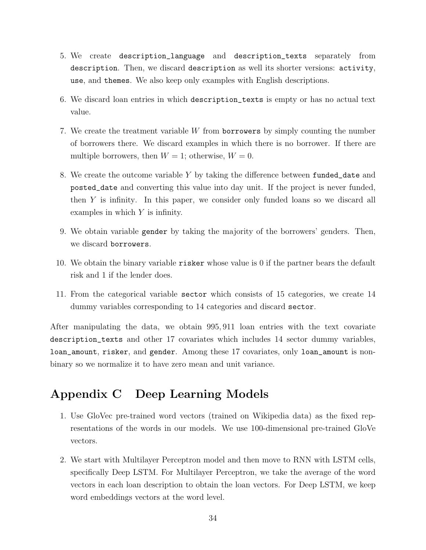- 5. We create description\_language and description\_texts separately from description. Then, we discard description as well its shorter versions: activity, use, and themes. We also keep only examples with English descriptions.
- 6. We discard loan entries in which description\_texts is empty or has no actual text value.
- 7. We create the treatment variable W from borrowers by simply counting the number of borrowers there. We discard examples in which there is no borrower. If there are multiple borrowers, then  $W = 1$ ; otherwise,  $W = 0$ .
- 8. We create the outcome variable Y by taking the difference between funded\_date and posted\_date and converting this value into day unit. If the project is never funded, then  $Y$  is infinity. In this paper, we consider only funded loans so we discard all examples in which  $Y$  is infinity.
- 9. We obtain variable gender by taking the majority of the borrowers' genders. Then, we discard borrowers.
- 10. We obtain the binary variable risker whose value is 0 if the partner bears the default risk and 1 if the lender does.
- 11. From the categorical variable sector which consists of 15 categories, we create 14 dummy variables corresponding to 14 categories and discard sector.

After manipulating the data, we obtain 995, 911 loan entries with the text covariate description\_texts and other 17 covariates which includes 14 sector dummy variables, loan\_amount, risker, and gender. Among these 17 covariates, only loan\_amount is nonbinary so we normalize it to have zero mean and unit variance.

# Appendix C Deep Learning Models

- 1. Use GloVec pre-trained word vectors (trained on Wikipedia data) as the fixed representations of the words in our models. We use 100-dimensional pre-trained GloVe vectors.
- 2. We start with Multilayer Perceptron model and then move to RNN with LSTM cells, specifically Deep LSTM. For Multilayer Perceptron, we take the average of the word vectors in each loan description to obtain the loan vectors. For Deep LSTM, we keep word embeddings vectors at the word level.